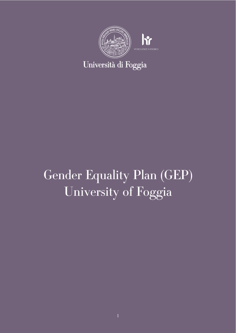

# Gender Equality Plan (GEP) University of Foggia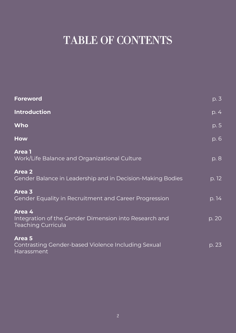# TABLE OF CONTENTS

| <b>Foreword</b>                                                                              | p. 3  |
|----------------------------------------------------------------------------------------------|-------|
| <b>Introduction</b>                                                                          | p. 4  |
| Who                                                                                          | p. 5  |
| <b>How</b>                                                                                   | p. 6  |
| <b>Area</b> 1<br><b>Work/Life Balance and Organizational Culture</b>                         | p. 8  |
| <b>Area 2</b><br>Gender Balance in Leadership and in Decision-Making Bodies                  | p. 12 |
| Area 3<br>Gender Equality in Recruitment and Career Progression                              | p. 14 |
| Area 4<br>Integration of the Gender Dimension into Research and<br><b>Teaching Curricula</b> | p. 20 |
| <b>Area 5</b><br><b>Contrasting Gender-based Violence Including Sexual</b><br>Harassment     | p. 23 |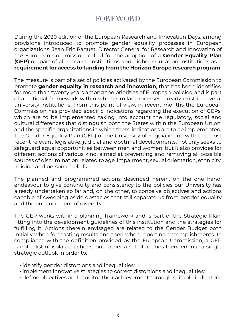## FOREWORD

During the 2020 edition of the European Research and Innovation Days, among provisions introduced to promote gender equality processes in European organizations, Jean Eric Paquet, Director General for Research and Innovation of the European Commission, called for the adoption of a **Gender Equality Plan (GEP)** on part of all research institutions and higher education institutions as a **requirement for access to funding from the Horizon Europe research program.**

The measure is part of a set of policies activated by the European Commission to promote **gender equality in research and innovation**, that has been identified for more than twenty years among the priorities of European policies, and is part of a national framework within which similar processes already exist in several university institutions. From this point of view, in recent months the European Commission has provided specific indications regarding the execution of GEPs, which are to be implemented taking into account the regulatory, social and cultural differences that distinguish both the States within the European Union, and the specific organizations in which these indications are to be implemented. The Gender Equality Plan (GEP) of the University of Foggia in line with the most recent relevant legislative, judicial and doctrinal developments, not only seeks to safeguard equal opportunities between men and women, but it also provides for different actions of various kind, aimed at preventing and removing all possible sources of discrimination related to age, impairment, sexual orientation, ethnicity, religion and personal beliefs.

The planned and programmed actions described herein, on the one hand, endeavour to give continuity and consistency to the policies our University has already undertaken so far and, on the other, to conceive objectives and actions capable of sweeping aside obstacles that still separate us from gender equality and the enhancement of diversity.

The GEP works within a planning framework and is part of the Strategic Plan, fitting into the development guidelines of this institution and the strategies for fulfilling it. Actions therein envisaged are related to the Gender Budget both initially when forecasting results and then when reporting accomplishments. In compliance with the definition provided by the European Commission, a GEP is not a list of isolated actions, but rather a set of actions blended into a single strategic outlook in order to:

- identify gender distortions and inequalities;
- implement innovative strategies to correct distortions and inequalities;
- define objectives and monitor their achievement through suitable indicators.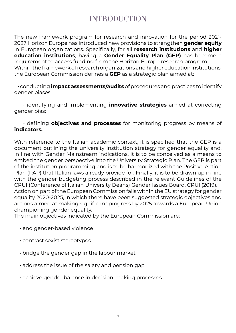## INTRODUCTION

The new framework program for research and innovation for the period 2021- 2027 Horizon Europe has introduced new provisions to strengthen **gender equity** in European organizations. Specifically, for all **research institutions** and **higher education institutions**, having a **Gender Equality Plan (GEP)** has become a requirement to access funding from the Horizon Europe research program. Within the framework of research organizations and higher education institutions, the European Commission defines a **GEP** as a strategic plan aimed at:

 • conducting **impact assessments/audits** of procedures and practices to identify gender biases;

 • identifying and implementing **innovative strategies** aimed at correcting gender bias;

 • defining **objectives and processes** for monitoring progress by means of **indicators.**

With reference to the Italian academic context, it is specified that the GEP is a document outlining the university institution strategy for gender equality and, in line with Gender Mainstream indications, it is to be conceived as a means to embed the gender perspective into the University Strategic Plan. The GEP is part of the institution programming and is to be harmonized with the Positive Action Plan (PAP) that Italian laws already provide for. Finally, it is to be drawn up in line with the gender budgeting process described in the relevant Guidelines of the CRUI (Conference of Italian University Deans) Gender Issues Board, CRUI (2019). Action on part of the European Commission falls within the EU strategy for gender equality 2020-2025, in which there have been suggested strategic objectives and actions aimed at making significant progress by 2025 towards a European Union championing gender equality.

The main objectives indicated by the European Commission are:

- end gender-based violence
- contrast sexist stereotypes
- bridge the gender gap in the labour market
- address the issue of the salary and pension gap
- achieve gender balance in decision-making processes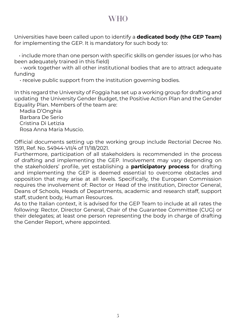## **WHO**

Universities have been called upon to identify a **dedicated body (the GEP Team)**  for implementing the GEP. It is mandatory for such body to:

 • include more than one person with specific skills on gender issues (or who has been adequately trained in this field)

 • work together with all other institutional bodies that are to attract adequate funding

• receive public support from the institution governing bodies.

In this regard the University of Foggia has set up a working group for drafting and updating the University Gender Budget, the Positive Action Plan and the Gender Equality Plan. Members of the team are:

 Madia D'Onghia Barbara De Serio Cristina Di Letizia Rosa Anna Maria Muscio.

Official documents setting up the working group include Rectorial Decree No. 1591, Ref. No. 54944-VII/4 of 11/18/2021.

Furthermore, participation of all stakeholders is recommended in the process of drafting and implementing the GEP. Involvement may vary depending on the stakeholders' profile, yet establishing a **participatory process** for drafting and implementing the GEP is deemed essential to overcome obstacles and opposition that may arise at all levels. Specifically, the European Commission requires the involvement of: Rector or Head of the institution, Director General, Deans of Schools, Heads of Departments, academic and research staff, support staff, student body, Human Resources.

As to the Italian context, it is advised for the GEP Team to include at all rates the following: Rector, Director General, Chair of the Guarantee Committee (CUG) or their delegates; at least one person representing the body in charge of drafting the Gender Report, where appointed.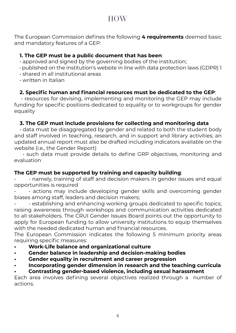### **HOW**

The European Commission defines the following **4 requirements** deemed basic and mandatory features of a GEP:

#### **1. The GEP must be a public document that has been**:

- approved and signed by the governing bodies of the institution;
- published on the institution's website in line with data protection laws (GDPR) 1
- shared in all institutional areas
- written in Italian

#### **2. Specific human and financial resources must be dedicated to the GEP**:

 • resources for devising, implementing and monitoring the GEP may include funding for specific positions dedicated to equality or to workgroups for gender equality

#### **3. The GEP must include provisions for collecting and monitoring data**

 • data must be disaggregated by gender and related to both the student body and staff involved in teaching, research, and in support and library activities; an updated annual report must also be drafted including indicators available on the website (i.e., the Gender Report)

 • such data must provide details to define GRP objectives, monitoring and evaluation

#### **The GEP must be supported by training and capacity building**:

• - namely, training of staff and decision makers in gender issues and equal opportunities is required

- actions may include developing gender skills and overcoming gender biases among staff, leaders and decision makers;

• - establishing and enhancing working groups dedicated to specific topics; raising awareness through workshops and communication activities dedicated to all stakeholders. The CRUI Gender Issues Board points out the opportunity to apply for European funding to allow university institutions to equip themselves with the needed dedicated human and financial resources.

The European Commission indicates the following 5 minimum priority areas requiring specific measures:

- **• Work-Life balance and organizational culture**
- **• Gender balance in leadership and decision-making bodies**
- **• Gender equality in recruitment and career progression**
- **• Incorporating gender dimension in research and the teaching curricula**

#### **• Contrasting gender-based violence, including sexual harassment**

Each area involves defining several objectives realized through a number of actions.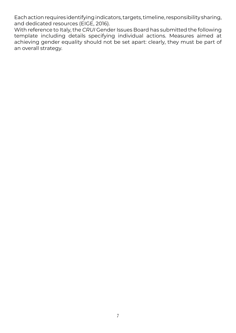Each action requires identifying indicators, targets, timeline, responsibility sharing, and dedicated resources (EIGE, 2016).

With reference to Italy, the *CRUI* Gender Issues Board has submitted the following template including details specifying individual actions. Measures aimed at achieving gender equality should not be set apart: clearly, they must be part of an overall strategy.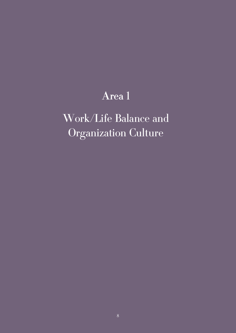## Area 1

# Work/Life Balance and Organization Culture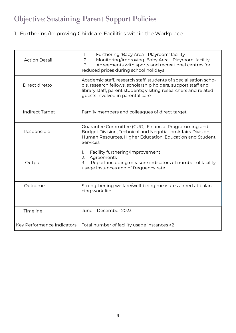## Objective: Sustaining Parent Support Policies

## 1. Furthering/Improving Childcare Facilities within the Workplace

| <b>Action Detail</b>       | Furthering 'Baby Area - Playroom' facility<br>1.<br>Monitoring/improving 'Baby Area - Playroom' facility<br>2.<br>$\overline{3}$ .<br>Agreements with sports and recreational centres for<br>reduced prices during school holidays        |
|----------------------------|-------------------------------------------------------------------------------------------------------------------------------------------------------------------------------------------------------------------------------------------|
| Direct diretto             | Academic staff, research staff, students of specialisation scho-<br>ols, research fellows, scholarship holders, support staff and<br>library staff, parent students; visiting researchers and related<br>guests involved in parental care |
| <b>Indirect Target</b>     | Family members and colleagues of direct target                                                                                                                                                                                            |
| Responsible                | Guarantee Committee (CUG), Financial Programming and<br>Budget Division, Technical and Negotiation Affairs Division,<br>Human Resources, Higher Education, Education and Student<br>Services                                              |
| Output                     | Facility furthering/improvement<br>1.<br>Agreements<br>2.<br>3.<br>Report including measure indicators of number of facility<br>usage instances and of frequency rate                                                                     |
| Outcome                    | Strengthening welfare/well-being measures aimed at balan-<br>cing work-life                                                                                                                                                               |
| Timeline                   | June - December 2023                                                                                                                                                                                                                      |
| Key Performance Indicators | Total number of facility usage instances >2                                                                                                                                                                                               |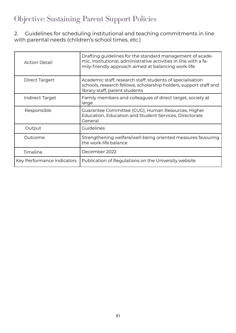## Objective: Sustaining Parent Support Policies

2. Guidelines for scheduling institutional and teaching commitments in line with parental needs (children's school times, etc.)

| <b>Action Detail</b>       | Drafting guidelines for the standard management of acade-<br>mic, institutional, administrative activities in line with a fa-<br>mily-friendly approach aimed at balancing work-life |
|----------------------------|--------------------------------------------------------------------------------------------------------------------------------------------------------------------------------------|
| Direct Targert             | Academic staff, research staff, students of specialisation<br>schools, research fellows, scholarship holders, support staff and<br>library staff, parent students                    |
| Indirect Target            | Family members and colleagues of direct target, society at<br>large                                                                                                                  |
| Responsible                | Guarantee Committee (CUG), Human Resources, Higher<br>Education, Education and Student Services, Directorate<br>General                                                              |
| Output                     | Guidelines                                                                                                                                                                           |
| Outcome                    | Strengthening welfare/well-being oriented measures favouring<br>the work-life balance                                                                                                |
| Timeline                   | December 2022                                                                                                                                                                        |
| Key Performance Indicators | Publication of Regulations on the University website                                                                                                                                 |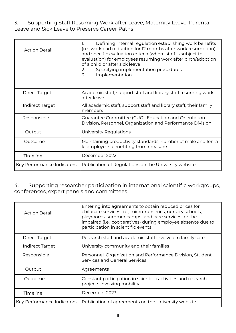#### 3. Supporting Staff Resuming Work after Leave, Maternity Leave, Parental Leave and Sick Leave to Preserve Career Paths

| Action Detail              | Defining internal regulation establishing work benefits<br>(i.e., workload reduction for 12 months after work resumption)<br>and specific evaluation criteria (where staff is subject to<br>evaluation) for employees resuming work after birth/adoption<br>of a child or after sick leave<br>Specifying implementation procedures<br>2.<br>3.<br>Implementation |
|----------------------------|------------------------------------------------------------------------------------------------------------------------------------------------------------------------------------------------------------------------------------------------------------------------------------------------------------------------------------------------------------------|
| Direct Target              | Academic staff, support staff and library staff resuming work<br>after leave                                                                                                                                                                                                                                                                                     |
| Indirect Target            | All academic staff, support staff and library staff, their family<br>members                                                                                                                                                                                                                                                                                     |
| Responsible                | Guarantee Committee (CUG), Education and Orientation<br>Division, Personnel, Organization and Performance Division                                                                                                                                                                                                                                               |
| Output                     | University Regulations                                                                                                                                                                                                                                                                                                                                           |
| Outcome                    | Maintaining productivity standards; number of male and fema-<br>le employees benefiting from measure                                                                                                                                                                                                                                                             |
| Timeline                   | December 2022                                                                                                                                                                                                                                                                                                                                                    |
| Key Performance Indicators | Publication of Regulations on the University website                                                                                                                                                                                                                                                                                                             |

#### 4. Supporting researcher participation in international scientific workgroups, conferences, expert panels and committees

| Action Detail              | Entering into agreements to obtain reduced prices for<br>childcare services (i.e., micro-nurseries, nursery schools,<br>playrooms, summer camps) and care services for the<br>impaired (i.e., cooperatives) during employee absence due to<br>participation in scientific events |
|----------------------------|----------------------------------------------------------------------------------------------------------------------------------------------------------------------------------------------------------------------------------------------------------------------------------|
| Direct Target              | Research staff and academic staff involved in family care                                                                                                                                                                                                                        |
| Indirect Target            | University community and their families                                                                                                                                                                                                                                          |
| Responsible                | Personnel, Organization and Performance Division, Student<br>Services and General Services                                                                                                                                                                                       |
| Output                     | Agreements                                                                                                                                                                                                                                                                       |
| Outcome                    | Constant participation in scientific activities and research<br>projects involving mobility                                                                                                                                                                                      |
| Timeline                   | December 2023                                                                                                                                                                                                                                                                    |
| Key Performance Indicators | Publication of agreements on the University website                                                                                                                                                                                                                              |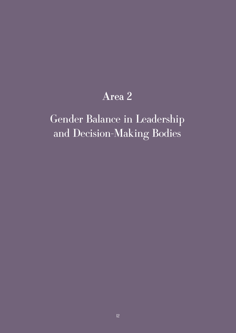## Area 2

# Gender Balance in Leadership and Decision-Making Bodies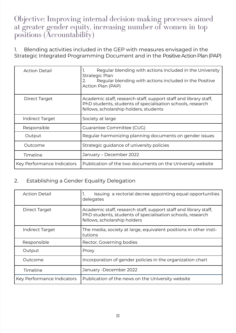### Objective: Improving internal decision-making processes aimed at greater gender equity, increasing number of women in top positions (Accountability)

1. Blending activities included in the GEP with measures envisaged in the Strategic Integrated Programming Document and in the Positive Action Plan (PAP)

| <b>Action Detail</b>       | Regular blending with actions included in the University<br>Strategic Plan<br>Regular blending with actions included in the Positive<br>$\mathcal{P}_{\cdot}$<br>Action Plan (PAP) |
|----------------------------|------------------------------------------------------------------------------------------------------------------------------------------------------------------------------------|
| Direct Target              | Academic staff, research staff, support staff and library staff,<br>PhD students, students of specialisation schools, research<br>fellows, scholarship holders, students           |
| Indirect Target            | Society at large                                                                                                                                                                   |
| Responsible                | Guarantee Committee (CUG)                                                                                                                                                          |
| Output                     | Regular harmonizing planning documents on gender issues                                                                                                                            |
| Outcome                    | Strategic guidance of university policies                                                                                                                                          |
| Timeline                   | January - December 2022                                                                                                                                                            |
| Key Performance Indicators | Publication of the two documents on the University website                                                                                                                         |

#### 2. Establishing a Gender Equality Delegation

| <b>Action Detail</b>       | Issuing a rectorial decree appointing equal opportunities<br>Ι.<br>delegates                                                                                   |
|----------------------------|----------------------------------------------------------------------------------------------------------------------------------------------------------------|
| Direct Target              | Academic staff, research staff, support staff and library staff,<br>PhD students, students of specialisation schools, research<br>fellows, scholarship holders |
| Indirect Target            | The media, society at large, equivalent positions in other insti-<br>tutions                                                                                   |
| Responsible                | Rector, Governing bodies                                                                                                                                       |
| Output                     | Proxy                                                                                                                                                          |
| Outcome                    | Incorporation of gender policies in the organization chart                                                                                                     |
| Timeline                   | January - December 2022                                                                                                                                        |
| Key Performance Indicators | Publication of the news on the University website                                                                                                              |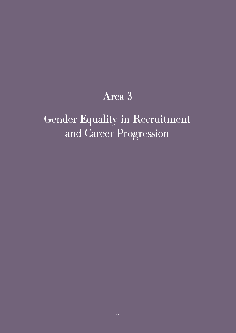## Area 3

# Gender Equality in Recruitment and Career Progression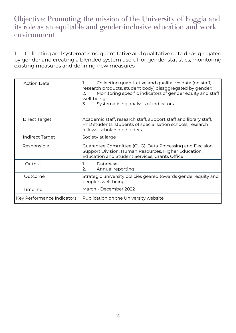### Objective: Promoting the mission of the University of Foggia and its role as an equitable and gender-inclusive education and work environment

1. Collecting and systematising quantitative and qualitative data disaggregated by gender and creating a blended system useful for gender statistics; monitoring existing measures and defining new measures

| <b>Action Detail</b>       | Collecting quantitative and qualitative data (on staff,<br>1.<br>research products, student body) disaggregated by gender;<br>Monitoring specific indicators of gender equity and staff<br>2.<br>well-being;<br>3.<br>Systematising analysis of indicators. |
|----------------------------|-------------------------------------------------------------------------------------------------------------------------------------------------------------------------------------------------------------------------------------------------------------|
| Direct Target              | Academic staff, research staff, support staff and library staff,<br>PhD students, students of specialisation schools, research<br>fellows, scholarship holders                                                                                              |
| Indirect Target            | Society at large                                                                                                                                                                                                                                            |
| Responsible                | Guarantee Committee (CUG), Data Processing and Decision<br>Support Division, Human Resources, Higher Education,<br>Education and Student Services, Grants Office                                                                                            |
| Output                     | Database<br>1.<br>2.<br>Annual reporting                                                                                                                                                                                                                    |
| Outcome                    | Strategic university policies geared towards gender equity and<br>people's well-being                                                                                                                                                                       |
| Timeline                   | March - December 2022                                                                                                                                                                                                                                       |
| Key Performance Indicators | Publication on the University website                                                                                                                                                                                                                       |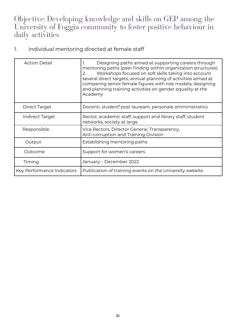Objective: Developing knowledge and skills on GEP among the University of Foggia community to foster positive behaviour in daily activities

### 1. Individual mentoring directed at female staff

| <b>Action Detail</b>       | Designing paths aimed at supporting careers through<br>mentoring paths (peer finding within organization structures)<br>Workshops focused on soft skills taking into account<br>2.<br>several direct targets; annual planning of activities aimed at<br>comparing senior female figures with role models; designing<br>and planning training activities on gender equality at the<br>Academy |
|----------------------------|----------------------------------------------------------------------------------------------------------------------------------------------------------------------------------------------------------------------------------------------------------------------------------------------------------------------------------------------------------------------------------------------|
| Direct Target              | Docenti, student*post lauream, personale amministrativo                                                                                                                                                                                                                                                                                                                                      |
| <b>Indirect Target</b>     | Rector, academic staff, support and library staff, student<br>networks, society at large                                                                                                                                                                                                                                                                                                     |
| Responsible                | Vice Rectors, Director General, Transparency,<br>Anti-corruption and Training Division                                                                                                                                                                                                                                                                                                       |
| Output                     | Establishing mentoring paths                                                                                                                                                                                                                                                                                                                                                                 |
| Outcome                    | Support for women's careers                                                                                                                                                                                                                                                                                                                                                                  |
| Timing                     | January – December 2022                                                                                                                                                                                                                                                                                                                                                                      |
| Key Performance Indicators | Publication of training events on the University website                                                                                                                                                                                                                                                                                                                                     |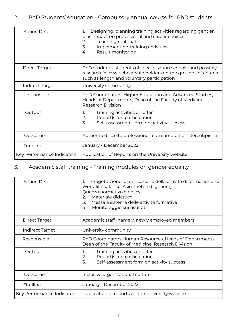### 2. PhD Students' education - Compulsory annual course for PhD students

| <b>Action Detail</b>       | Designing, planning training activities regarding gender<br>1.<br>bias impact on professional and career choices<br>Teaching material<br>2.<br>3.<br>Implementing training activities<br>Result monitoring<br>4. |
|----------------------------|------------------------------------------------------------------------------------------------------------------------------------------------------------------------------------------------------------------|
| Direct Target              | PhD students, students of specialisation schools, and possibly<br>research fellows, scholarship holders on the grounds of criteria<br>such as length and voluntary participation                                 |
| Indirect Target            | University community                                                                                                                                                                                             |
| Responsible                | PhD Coordinators, Higher Education and Advanced Studies,<br>Heads of Departments, Dean of the Faculty of Medicine,<br><b>Research Division</b>                                                                   |
| Output                     | Training activities on offer<br>1.<br>2.<br>Report(s) on participation<br>$\overline{3}$ .<br>Self-assessment form on activity success                                                                           |
| Outcome                    | Aumento di scelte professionali e di carriera non stereotipiche                                                                                                                                                  |
| Timeline                   | January - December 2022                                                                                                                                                                                          |
| Key Performance Indicators | Publication of Reports on the University website                                                                                                                                                                 |

### 3. Academic staff training - Training modules on gender equality

| <b>Action Detail</b>       | Progettazione, pianificazione della attività di formazione su:<br>1.<br>Work-life balance; Asimmetrie di genere;<br>Quadro normativo e policy<br>Materiale didattico<br>2.<br>3.<br>Messa a sistema delle attività formative<br>Monitoraggio sui risultati<br>4. |
|----------------------------|------------------------------------------------------------------------------------------------------------------------------------------------------------------------------------------------------------------------------------------------------------------|
| Direct Target              | Academic staff (namely, newly employed members)                                                                                                                                                                                                                  |
| Indirect Target            | University community                                                                                                                                                                                                                                             |
| Responsible                | PhD Coordinators Human Resources, Heads of Departments,<br>Dean of the Faculty of Medicine, Research Division                                                                                                                                                    |
| Output                     | Training activities on offer<br>1.<br>2.<br>Report(s) on participation<br>3.<br>Self-assessment form on activity success                                                                                                                                         |
| Outcome                    | Inclusive organizational culture                                                                                                                                                                                                                                 |
| Timiline                   | January - December 2022                                                                                                                                                                                                                                          |
| Key Performance Indicators | Publication of reports on the University website                                                                                                                                                                                                                 |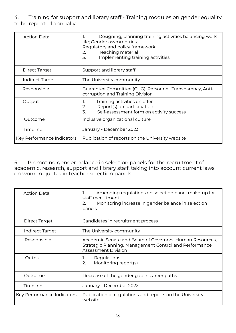#### 4. Training for support and library staff - Training modules on gender equality to be repeated annually

| <b>Action Detail</b>       | Designing, planning training activities balancing work-<br>life; Gender asymmetries;<br>Regulatory and policy framework<br>Teaching material<br>2.<br>3.<br>Implementing training activities |
|----------------------------|----------------------------------------------------------------------------------------------------------------------------------------------------------------------------------------------|
| Direct Target              | Support and library staff                                                                                                                                                                    |
| Indirect Target            | The University community                                                                                                                                                                     |
| Responsible                | Guarantee Committee (CUG), Personnel, Transparency, Anti-<br>corruption and Training Division                                                                                                |
| Output                     | Training activities on offer<br>Ι.<br>Report(s) on participation<br>2.<br>3.<br>Self-assessment form on activity success                                                                     |
| Outcome                    | Inclusive organizational culture                                                                                                                                                             |
| Timeline                   | January - December 2023                                                                                                                                                                      |
| Key Performance Indicators | Publication of reports on the University website                                                                                                                                             |

5. Promoting gender balance in selection panels for the recruitment of academic, research, support and library staff, taking into account current laws on women quotas in teacher selection panels

| <b>Action Detail</b>       | Amending regulations on selection panel make-up for<br>1.<br>staff recruitment<br>Monitoring increase in gender balance in selection<br>2.<br>panels |
|----------------------------|------------------------------------------------------------------------------------------------------------------------------------------------------|
| Direct Target              | Candidates in recruitment process                                                                                                                    |
| <b>Indirect Target</b>     | The University community                                                                                                                             |
| Responsible                | Academic Senate and Board of Governors, Human Resources,<br>Strategic Planning, Management Control and Performance<br><b>Assessment Division</b>     |
| Output                     | Regulations<br>1.<br>2.<br>Monitoring report(s)                                                                                                      |
| Outcome                    | Decrease of the gender gap in career paths                                                                                                           |
| Timeline                   | January - December 2022                                                                                                                              |
| Key Performance Indicators | Publication of regulations and reports on the University<br>website                                                                                  |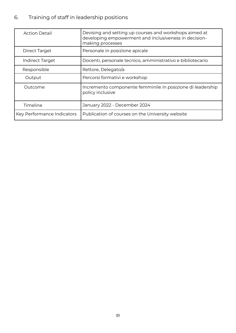### 6. Training of staff in leadership positions

| <b>Action Detail</b>       | Devising and setting up courses and workshops aimed at<br>developing empowerment and inclusiveness in decision-<br>making processes |
|----------------------------|-------------------------------------------------------------------------------------------------------------------------------------|
| Direct Target              | Personale in posizione apicale                                                                                                      |
| <b>Indirect Target</b>     | Docenti, personale tecnico, amministrativo e bibliotecario                                                                          |
| Responsible                | Rettore, Delegato/a                                                                                                                 |
| Output                     | Percorsi formativi e workshop                                                                                                       |
| Outcome                    | Incremento componente femminile in posizione di leadership<br>policy inclusive                                                      |
| Timeline                   | January 2022 - December 2024                                                                                                        |
| Key Performance Indicators | Publication of courses on the University website                                                                                    |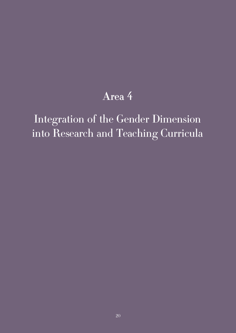## Area 4

# Integration of the Gender Dimension into Research and Teaching Curricula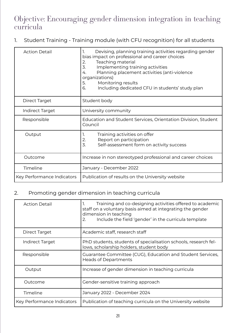## Objective: Encouraging gender dimension integration in teaching curricula

1. Student Training - Training module (with CFU recognition) for all students

| <b>Action Detail</b>       | Devising, planning training activities regarding gender<br>1.<br>bias impact on professional and career choices<br>Teaching material<br>2.<br>3.<br>Implementing training activities<br>Planning placement activities (anti-violence<br>4.<br>organizations)<br>5.<br>Monitoring results<br>6.<br>Including dedicated CFU in students' study plan |
|----------------------------|---------------------------------------------------------------------------------------------------------------------------------------------------------------------------------------------------------------------------------------------------------------------------------------------------------------------------------------------------|
| Direct Target              | Student body                                                                                                                                                                                                                                                                                                                                      |
| <b>Indirect Target</b>     | University community                                                                                                                                                                                                                                                                                                                              |
| Responsible                | Education and Student Services, Orientation Division, Student<br>Council                                                                                                                                                                                                                                                                          |
| Output                     | Training activities on offer<br>1.<br>2.<br>Report on participation<br>$\overline{3}$ .<br>Self-assessment form on activity success                                                                                                                                                                                                               |
| Outcome                    | Increase in non stereotyped professional and career choices                                                                                                                                                                                                                                                                                       |
| Timeline                   | January - December 2022                                                                                                                                                                                                                                                                                                                           |
| Key Performance Indicators | Publication of results on the University website                                                                                                                                                                                                                                                                                                  |

### 2. Promoting gender dimension in teaching curricula

| <b>Action Detail</b>       | Training and co-designing activities offered to academic<br>staff on a voluntary basis aimed at integrating the gender<br>dimension in teaching<br>Include the field 'gender' in the curricula template<br>2. |
|----------------------------|---------------------------------------------------------------------------------------------------------------------------------------------------------------------------------------------------------------|
| Direct Target              | Academic staff, research staff                                                                                                                                                                                |
| Indirect Target            | PhD students, students of specialisation schools, research fel-<br>lows, scholarship holders, student body                                                                                                    |
| Responsible                | Guarantee Committee (CUG), Education and Student Services,<br><b>Heads of Departments</b>                                                                                                                     |
| Output                     | Increase of gender dimension in teaching curricula                                                                                                                                                            |
| Outcome                    | Gender-sensitive training approach                                                                                                                                                                            |
| Timeline                   | January 2022 - December 2024                                                                                                                                                                                  |
| Key Performance Indicators | Publication of teaching curricula on the University website                                                                                                                                                   |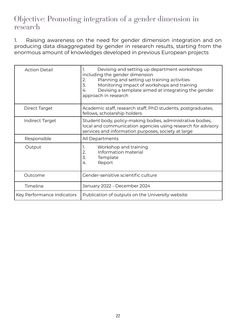### Objective: Promoting integration of a gender dimension in research

1. Raising awareness on the need for gender dimension integration and on producing data disaggregated by gender in research results, starting from the enormous amount of knowledges developed in previous European projects

| <b>Action Detail</b>       | Devising and setting up department workshops<br>1.<br>including the gender dimension<br>Planning and setting up training activities<br>2.<br>$\overline{3}$ .<br>Monitoring impact of workshops and training<br>Devising a template aimed at integrating the gender<br>4.<br>approach in research |
|----------------------------|---------------------------------------------------------------------------------------------------------------------------------------------------------------------------------------------------------------------------------------------------------------------------------------------------|
| <b>Direct Target</b>       | Academic staff, research staff, PhD students, postgraduates,<br>fellows, scholarship holders                                                                                                                                                                                                      |
| Indirect Target            | Student body, policy-making bodies, administrative bodies,<br>local and communication agencies using research for advisory<br>services and information purposes, society at large                                                                                                                 |
| Responsible                | All Departments                                                                                                                                                                                                                                                                                   |
| Output                     | Workshop and training<br>1.<br>2.<br>Information material<br>3.<br>Template<br>Report<br>4.                                                                                                                                                                                                       |
| Outcome                    | Gender-sensitive scientific culture                                                                                                                                                                                                                                                               |
| Timeline                   | January 2022 - December 2024                                                                                                                                                                                                                                                                      |
| Key Performance Indicators | Publication of outputs on the University website                                                                                                                                                                                                                                                  |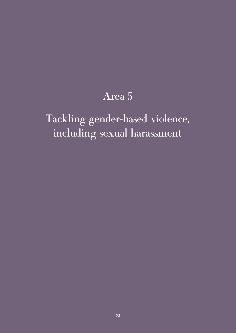## Area 5

Tackling gender-based violence, including sexual harassment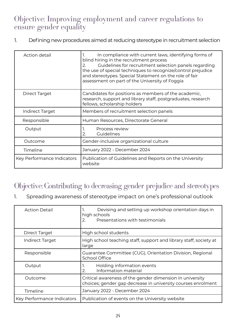## Objective: Improving employment and career regulations to ensure gender equality

1. Defining new procedures aimed at reducing stereotype in recruitment selection

| Action detail              | In compliance with current laws, identifying forms of<br>blind hiring in the recruitment process<br>Guidelines for recruitment selection panels regarding<br>2.<br>the use of special techniques to recognize/control prejudice<br>and stereotypes. Special Statement on the role of fair<br>assessment on part of the University of Foggia |
|----------------------------|---------------------------------------------------------------------------------------------------------------------------------------------------------------------------------------------------------------------------------------------------------------------------------------------------------------------------------------------|
| Direct Target              | Candidates for positions as members of the academic,<br>research, support and library staff, postgraduates, research<br>fellows, scholarship holders                                                                                                                                                                                        |
| Indirect Target            | Members of recruitment selection panels                                                                                                                                                                                                                                                                                                     |
| Responsible                | Human Resources, Directorate General                                                                                                                                                                                                                                                                                                        |
| Output                     | Process review<br>Ι.<br>Guidelines<br>2.                                                                                                                                                                                                                                                                                                    |
| Outcome                    | Gender-inclusive organizational culture                                                                                                                                                                                                                                                                                                     |
| Timeline                   | January 2022 - December 2024                                                                                                                                                                                                                                                                                                                |
| Key Performance Indicators | Publication of Guidelines and Reports on the University<br>website                                                                                                                                                                                                                                                                          |

## Objective: Contributing to decreasing gender prejudice and stereotypes

1. Spreading awareness of stereotype impact on one's professional outlook

| <b>Action Detail</b>       | Devising and setting up workshop orientation days in<br>1.<br>high schools<br>Presentations with testimonials<br>2.      |
|----------------------------|--------------------------------------------------------------------------------------------------------------------------|
| Direct Target              | High school students                                                                                                     |
| Indirect Target            | High school teaching staff, support and library staff, society at<br>large                                               |
| Responsible                | Guarantee Committee (CUG), Orientation Division, Regional<br>School Office                                               |
| Output                     | Holding information events<br>1.<br>Information material<br>2.                                                           |
| Outcome                    | Critical awareness of the gender dimension in university<br>choices; gender gap decrease in university courses enrolment |
| Timeline                   | January 2022 - December 2024                                                                                             |
| Key Performance Indicators | Publication of events on the University website                                                                          |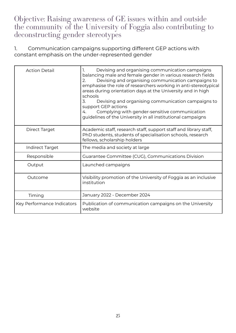Objective: Raising awareness of GE issues within and outside the community of the University of Foggia also contributing to deconstructing gender stereotypes

1. Communication campaigns supporting different GEP actions with constant emphasis on the under-represented gender

| <b>Action Detail</b>       | Devising and organising communication campaigns<br>Ι.<br>balancing male and female gender in various research fields<br>Devising and organising communication campaigns to<br>2.<br>emphasise the role of researchers working in anti-stereotypical<br>areas during orientation days at the University and in high<br>schools<br>3.<br>Devising and organising communication campaigns to<br>support GEP actions<br>Complying with gender-sensitive communication<br>4.<br>guidelines of the University in all institutional campaigns |
|----------------------------|----------------------------------------------------------------------------------------------------------------------------------------------------------------------------------------------------------------------------------------------------------------------------------------------------------------------------------------------------------------------------------------------------------------------------------------------------------------------------------------------------------------------------------------|
| Direct Target              | Academic staff, research staff, support staff and library staff,<br>PhD students, students of specialisation schools, research<br>fellows, scholarship holders                                                                                                                                                                                                                                                                                                                                                                         |
| <b>Indirect Target</b>     | The media and society at large                                                                                                                                                                                                                                                                                                                                                                                                                                                                                                         |
| Responsible                | Guarantee Committee (CUG), Communications Division                                                                                                                                                                                                                                                                                                                                                                                                                                                                                     |
| Output                     | Launched campaigns                                                                                                                                                                                                                                                                                                                                                                                                                                                                                                                     |
| Outcome                    | Visibility promotion of the University of Foggia as an inclusive<br>institution                                                                                                                                                                                                                                                                                                                                                                                                                                                        |
| Timing                     | January 2022 - December 2024                                                                                                                                                                                                                                                                                                                                                                                                                                                                                                           |
| Key Performance Indicators | Publication of communication campaigns on the University<br>website                                                                                                                                                                                                                                                                                                                                                                                                                                                                    |